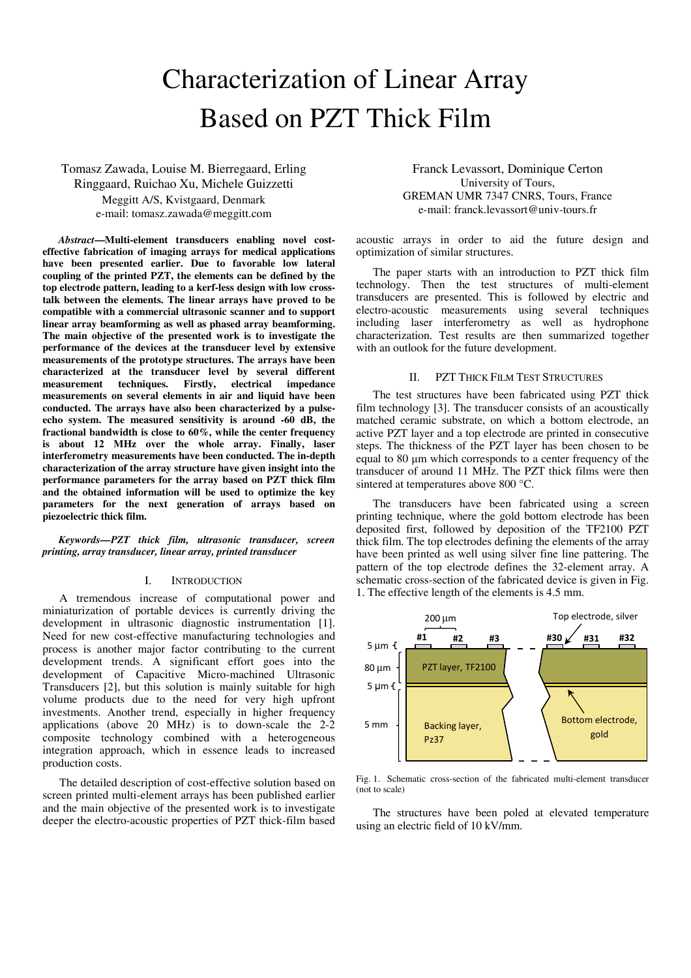# Characterization of Linear Array Based on PZT Thick Film

Tomasz Zawada, Louise M. Bierregaard, Erling Ringgaard, Ruichao Xu, Michele Guizzetti Meggitt A/S, Kvistgaard, Denmark e-mail: tomasz.zawada@meggitt.com

*Abstract***—Multi-element transducers enabling novel costeffective fabrication of imaging arrays for medical applications have been presented earlier. Due to favorable low lateral coupling of the printed PZT, the elements can be defined by the top electrode pattern, leading to a kerf-less design with low crosstalk between the elements. The linear arrays have proved to be compatible with a commercial ultrasonic scanner and to support linear array beamforming as well as phased array beamforming. The main objective of the presented work is to investigate the performance of the devices at the transducer level by extensive measurements of the prototype structures. The arrays have been characterized at the transducer level by several different measurement techniques. Firstly, electrical impedance measurements on several elements in air and liquid have been conducted. The arrays have also been characterized by a pulseecho system. The measured sensitivity is around -60 dB, the fractional bandwidth is close to 60%, while the center frequency is about 12 MHz over the whole array. Finally, laser interferometry measurements have been conducted. The in-depth characterization of the array structure have given insight into the performance parameters for the array based on PZT thick film and the obtained information will be used to optimize the key parameters for the next generation of arrays based on piezoelectric thick film.** 

*Keywords—PZT thick film, ultrasonic transducer, screen printing, array transducer, linear array, printed transducer* 

# I. INTRODUCTION

A tremendous increase of computational power and miniaturization of portable devices is currently driving the development in ultrasonic diagnostic instrumentation [1]. Need for new cost-effective manufacturing technologies and process is another major factor contributing to the current development trends. A significant effort goes into the development of Capacitive Micro-machined Ultrasonic Transducers [2], but this solution is mainly suitable for high volume products due to the need for very high upfront investments. Another trend, especially in higher frequency applications (above 20 MHz) is to down-scale the 2-2 composite technology combined with a heterogeneous integration approach, which in essence leads to increased production costs.

The detailed description of cost-effective solution based on screen printed multi-element arrays has been published earlier and the main objective of the presented work is to investigate deeper the electro-acoustic properties of PZT thick-film based

Franck Levassort, Dominique Certon University of Tours, GREMAN UMR 7347 CNRS, Tours, France e-mail: franck.levassort@univ-tours.fr

acoustic arrays in order to aid the future design and optimization of similar structures.

The paper starts with an introduction to PZT thick film technology. Then the test structures of multi-element transducers are presented. This is followed by electric and electro-acoustic measurements using several techniques including laser interferometry as well as hydrophone characterization. Test results are then summarized together with an outlook for the future development.

# II. PZT THICK FILM TEST STRUCTURES

The test structures have been fabricated using PZT thick film technology [3]. The transducer consists of an acoustically matched ceramic substrate, on which a bottom electrode, an active PZT layer and a top electrode are printed in consecutive steps. The thickness of the PZT layer has been chosen to be equal to 80 μm which corresponds to a center frequency of the transducer of around 11 MHz. The PZT thick films were then sintered at temperatures above 800 °C.

The transducers have been fabricated using a screen printing technique, where the gold bottom electrode has been deposited first, followed by deposition of the TF2100 PZT thick film. The top electrodes defining the elements of the array have been printed as well using silver fine line pattering. The pattern of the top electrode defines the 32-element array. A schematic cross-section of the fabricated device is given in Fig. 1. The effective length of the elements is 4.5 mm.



Fig. 1. Schematic cross-section of the fabricated multi-element transducer (not to scale)

The structures have been poled at elevated temperature using an electric field of 10 kV/mm.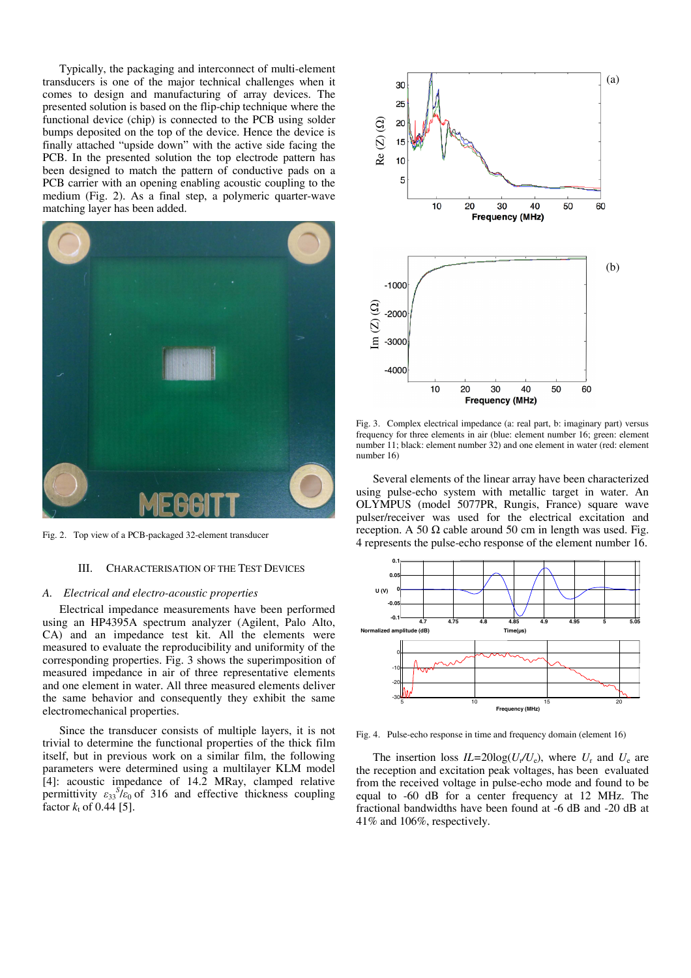Typically, the packaging and interconnect of multi-element transducers is one of the major technical challenges when it comes to design and manufacturing of array devices. The presented solution is based on the flip-chip technique where the functional device (chip) is connected to the PCB using solder bumps deposited on the top of the device. Hence the device is finally attached "upside down" with the active side facing the PCB. In the presented solution the top electrode pattern has been designed to match the pattern of conductive pads on a PCB carrier with an opening enabling acoustic coupling to the medium (Fig. 2). As a final step, a polymeric quarter-wave matching layer has been added.



Fig. 2. Top view of a PCB-packaged 32-element transducer

## III. CHARACTERISATION OF THE TEST DEVICES

## *A. Electrical and electro-acoustic properties*

Electrical impedance measurements have been performed using an HP4395A spectrum analyzer (Agilent, Palo Alto, CA) and an impedance test kit. All the elements were measured to evaluate the reproducibility and uniformity of the corresponding properties. Fig. 3 shows the superimposition of measured impedance in air of three representative elements and one element in water. All three measured elements deliver the same behavior and consequently they exhibit the same electromechanical properties.

Since the transducer consists of multiple layers, it is not trivial to determine the functional properties of the thick film itself, but in previous work on a similar film, the following parameters were determined using a multilayer KLM model [4]: acoustic impedance of 14.2 MRay, clamped relative permittivity  $\varepsilon_{33}^{S}/\varepsilon_0$  of 316 and effective thickness coupling factor  $k_{\rm t}$  of 0.44 [5].



Fig. 3. Complex electrical impedance (a: real part, b: imaginary part) versus frequency for three elements in air (blue: element number 16; green: element number 11; black: element number 32) and one element in water (red: element number 16)

Several elements of the linear array have been characterized using pulse-echo system with metallic target in water. An OLYMPUS (model 5077PR, Rungis, France) square wave pulser/receiver was used for the electrical excitation and reception. A 50  $\Omega$  cable around 50 cm in length was used. Fig. 4 represents the pulse-echo response of the element number 16.



Fig. 4. Pulse-echo response in time and frequency domain (element 16)

The insertion loss  $IL = 20\log(U_r/U_e)$ , where  $U_r$  and  $U_e$  are the reception and excitation peak voltages, has been evaluated from the received voltage in pulse-echo mode and found to be equal to -60 dB for a center frequency at 12 MHz. The fractional bandwidths have been found at -6 dB and -20 dB at 41% and 106%, respectively.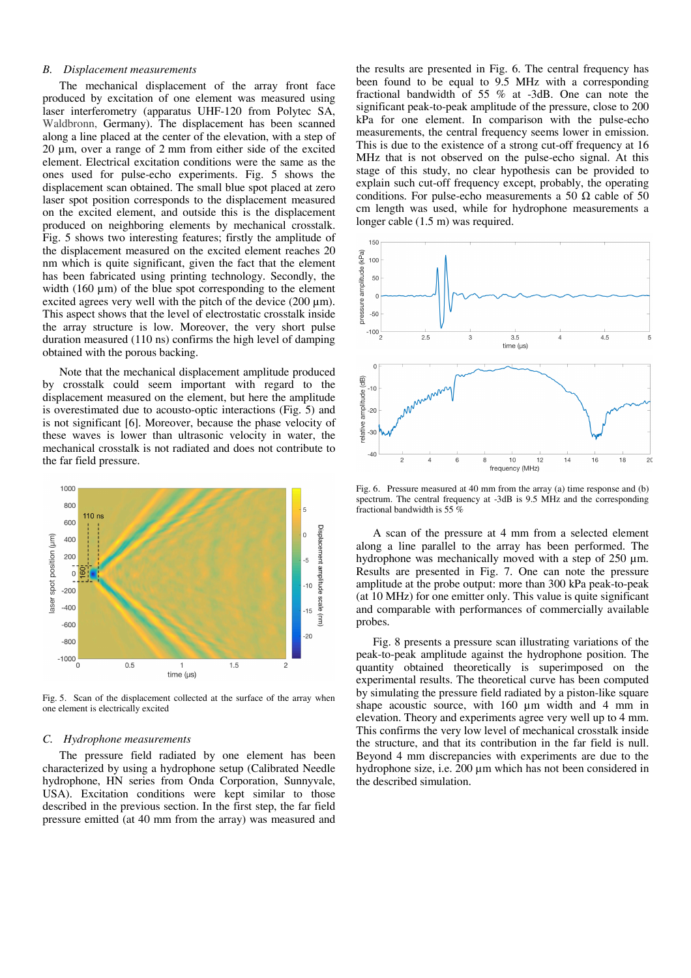## *B. Displacement measurements*

The mechanical displacement of the array front face produced by excitation of one element was measured using laser interferometry (apparatus UHF-120 from Polytec SA, Waldbronn, Germany). The displacement has been scanned along a line placed at the center of the elevation, with a step of 20 μm, over a range of 2 mm from either side of the excited element. Electrical excitation conditions were the same as the ones used for pulse-echo experiments. Fig. 5 shows the displacement scan obtained. The small blue spot placed at zero laser spot position corresponds to the displacement measured on the excited element, and outside this is the displacement produced on neighboring elements by mechanical crosstalk. Fig. 5 shows two interesting features; firstly the amplitude of the displacement measured on the excited element reaches 20 nm which is quite significant, given the fact that the element has been fabricated using printing technology. Secondly, the width (160 μm) of the blue spot corresponding to the element excited agrees very well with the pitch of the device (200 μm). This aspect shows that the level of electrostatic crosstalk inside the array structure is low. Moreover, the very short pulse duration measured (110 ns) confirms the high level of damping obtained with the porous backing.

Note that the mechanical displacement amplitude produced by crosstalk could seem important with regard to the displacement measured on the element, but here the amplitude is overestimated due to acousto-optic interactions (Fig. 5) and is not significant [6]. Moreover, because the phase velocity of these waves is lower than ultrasonic velocity in water, the mechanical crosstalk is not radiated and does not contribute to the far field pressure.



Fig. 5. Scan of the displacement collected at the surface of the array when one element is electrically excited

#### *C. Hydrophone measurements*

The pressure field radiated by one element has been characterized by using a hydrophone setup (Calibrated Needle hydrophone, HN series from Onda Corporation, Sunnyvale, USA). Excitation conditions were kept similar to those described in the previous section. In the first step, the far field pressure emitted (at 40 mm from the array) was measured and the results are presented in Fig. 6. The central frequency has been found to be equal to 9.5 MHz with a corresponding fractional bandwidth of 55 % at -3dB. One can note the significant peak-to-peak amplitude of the pressure, close to 200 kPa for one element. In comparison with the pulse-echo measurements, the central frequency seems lower in emission. This is due to the existence of a strong cut-off frequency at 16 MHz that is not observed on the pulse-echo signal. At this stage of this study, no clear hypothesis can be provided to explain such cut-off frequency except, probably, the operating conditions. For pulse-echo measurements a 50  $\Omega$  cable of 50 cm length was used, while for hydrophone measurements a longer cable (1.5 m) was required.



Fig. 6. Pressure measured at 40 mm from the array (a) time response and (b) spectrum. The central frequency at -3dB is 9.5 MHz and the corresponding fractional bandwidth is 55 %

A scan of the pressure at 4 mm from a selected element along a line parallel to the array has been performed. The hydrophone was mechanically moved with a step of 250 μm. Results are presented in Fig. 7. One can note the pressure amplitude at the probe output: more than 300 kPa peak-to-peak (at 10 MHz) for one emitter only. This value is quite significant and comparable with performances of commercially available probes.

Fig. 8 presents a pressure scan illustrating variations of the peak-to-peak amplitude against the hydrophone position. The quantity obtained theoretically is superimposed on the experimental results. The theoretical curve has been computed by simulating the pressure field radiated by a piston-like square shape acoustic source, with 160 μm width and 4 mm in elevation. Theory and experiments agree very well up to 4 mm. This confirms the very low level of mechanical crosstalk inside the structure, and that its contribution in the far field is null. Beyond 4 mm discrepancies with experiments are due to the hydrophone size, i.e. 200 μm which has not been considered in the described simulation.